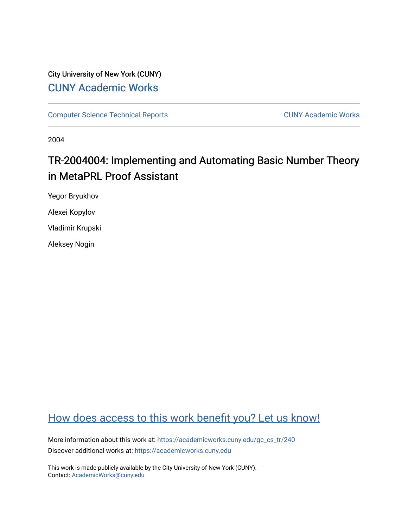## City University of New York (CUNY) [CUNY Academic Works](https://academicworks.cuny.edu/)

[Computer Science Technical Reports](https://academicworks.cuny.edu/gc_cs_tr) **CUNY Academic Works** CUNY Academic Works

2004

# TR-2004004: Implementing and Automating Basic Number Theory in MetaPRL Proof Assistant

Yegor Bryukhov

Alexei Kopylov

Vladimir Krupski

Aleksey Nogin

# [How does access to this work benefit you? Let us know!](http://ols.cuny.edu/academicworks/?ref=https://academicworks.cuny.edu/gc_cs_tr/240)

More information about this work at: [https://academicworks.cuny.edu/gc\\_cs\\_tr/240](https://academicworks.cuny.edu/gc_cs_tr/240)  Discover additional works at: [https://academicworks.cuny.edu](https://academicworks.cuny.edu/?)

This work is made publicly available by the City University of New York (CUNY). Contact: [AcademicWorks@cuny.edu](mailto:AcademicWorks@cuny.edu)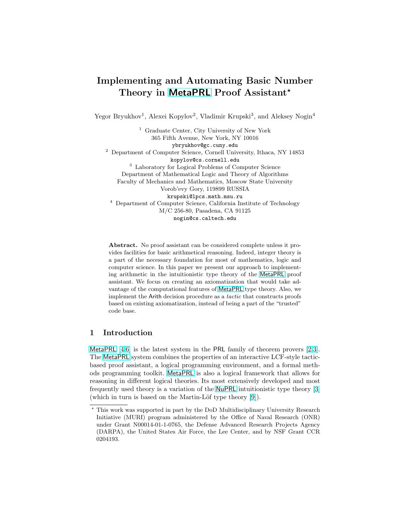### Implementing and Automating Basic Number Theory in [MetaPRL](http://metaprl.org/) Proof Assistant<sup>\*</sup>

Yegor Bryukhov<sup>1</sup>, Alexei Kopylov<sup>2</sup>, Vladimir Krupski<sup>3</sup>, and Aleksey Nogin<sup>4</sup>

<sup>1</sup> Graduate Center, City University of New York 365 Fifth Avenue, New York, NY 10016 ybryukhov@gc.cuny.edu <sup>2</sup> Department of Computer Science, Cornell University, Ithaca, NY 14853 kopylov@cs.cornell.edu <sup>3</sup> Laboratory for Logical Problems of Computer Science Department of Mathematical Logic and Theory of Algorithms Faculty of Mechanics and Mathematics, Moscow State University Vorob'evy Gory, 119899 RUSSIA krupski@lpcs.math.msu.ru <sup>4</sup> Department of Computer Science, California Institute of Technology M/C 256-80, Pasadena, CA 91125 nogin@cs.caltech.edu

Abstract. No proof assistant can be considered complete unless it provides facilities for basic arithmetical reasoning. Indeed, integer theory is a part of the necessary foundation for most of mathematics, logic and computer science. In this paper we present our approach to implementing arithmetic in the intuitionistic type theory of the [MetaPRL](http://metaprl.org/) proof assistant. We focus on creating an axiomatization that would take advantage of the computational features of [MetaPRL](http://metaprl.org/) type theory. Also, we implement the Arith decision procedure as a tactic that constructs proofs based on existing axiomatization, instead of being a part of the "trusted" code base.

### 1 Introduction

[MetaPRL](http://metaprl.org/)  $[4,6]$  is the latest system in the PRL family of theorem provers  $[2,3]$ . The [MetaPRL](http://metaprl.org/) system combines the properties of an interactive LCF-style tacticbased proof assistant, a logical programming environment, and a formal methods programming toolkit. [MetaPRL](http://metaprl.org/) is also a logical framework that allows for reasoning in different logical theories. Its most extensively developed and most frequently used theory is a variation of the [NuPRL](http://nuprl.org/) intuitionistic type theory [\[3\]](#page-10-0) (which in turn is based on the Martin-Löf type theory  $[9]$ ).

<sup>?</sup> This work was supported in part by the DoD Multidisciplinary University Research Initiative (MURI) program administered by the Office of Naval Research (ONR) under Grant N00014-01-1-0765, the Defense Advanced Research Projects Agency (DARPA), the United States Air Force, the Lee Center, and by NSF Grant CCR 0204193.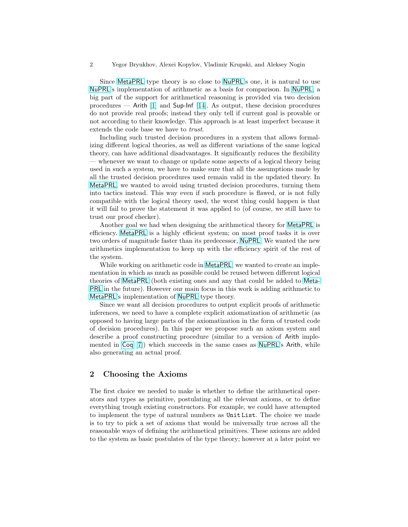Since [MetaPRL](http://metaprl.org/) type theory is so close to [NuPRL](http://nuprl.org/)'s one, it is natural to use [NuPRL](http://nuprl.org/)'s implementation of arithmetic as a basis for comparison. In [NuPRL](http://nuprl.org/), a big part of the support for arithmetical reasoning is provided via two decision procedures — Arith [\[1\]](#page-10-0) and Sup-Inf [\[14\]](#page-11-0). As output, these decision procedures do not provide real proofs; instead they only tell if current goal is provable or not according to their knowledge. This approach is at least imperfect because it extends the code base we have to trust.

Including such trusted decision procedures in a system that allows formalizing different logical theories, as well as different variations of the same logical theory, can have additional disadvantages. It significantly reduces the flexibility — whenever we want to change or update some aspects of a logical theory being used in such a system, we have to make sure that all the assumptions made by all the trusted decision procedures used remain valid in the updated theory. In [MetaPRL](http://metaprl.org/), we wanted to avoid using trusted decision procedures, turning them into tactics instead. This way even if such procedure is flawed, or is not fully compatible with the logical theory used, the worst thing could happen is that it will fail to prove the statement it was applied to (of course, we still have to trust our proof checker).

Another goal we had when designing the arithmetical theory for [MetaPRL](http://metaprl.org/) is efficiency. [MetaPRL](http://metaprl.org/) is a highly efficient system; on most proof tasks it is over two orders of magnitude faster than its predecessor, [NuPRL](http://nuprl.org/). We wanted the new arithmetics implementation to keep up with the efficiency spirit of the rest of the system.

While working on arithmetic code in **[MetaPRL](http://metaprl.org/)**, we wanted to create an implementation in which as much as possible could be reused between different logical theories of [MetaPRL](http://metaprl.org/) (both existing ones and any that could be added to [Meta-](http://metaprl.org/)[PRL](http://metaprl.org/) in the future). However our main focus in this work is adding arithmetic to [MetaPRL](http://metaprl.org/)'s implementation of [NuPRL](http://nuprl.org/) type theory.

Since we want all decision procedures to output explicit proofs of arithmetic inferences, we need to have a complete explicit axiomatization of arithmetic (as opposed to having large parts of the axiomatization in the form of trusted code of decision procedures). In this paper we propose such an axiom system and describe a proof constructing procedure (similar to a version of Arith implemented in [Coq](http://coq.inria.fr/) [\[7\]](#page-10-0)) which succeeds in the same cases as [NuPRL](http://nuprl.org/)'s Arith, while also generating an actual proof.

#### 2 Choosing the Axioms

The first choice we needed to make is whether to define the arithmetical operators and types as primitive, postulating all the relevant axioms, or to define everything trough existing constructors. For example, we could have attempted to implement the type of natural numbers as Unit List. The choice we made is to try to pick a set of axioms that would be universally true across all the reasonable ways of defining the arithmetical primitives. These axioms are added to the system as basic postulates of the type theory; however at a later point we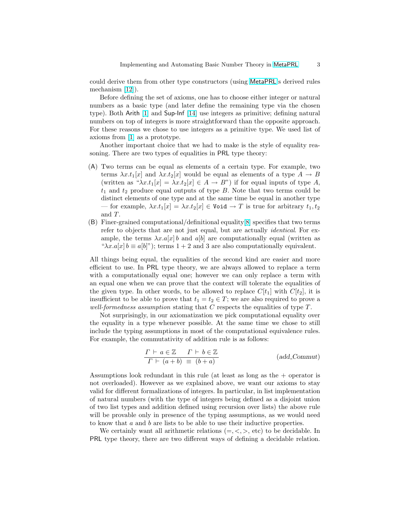could derive them from other type constructors (using [MetaPRL](http://metaprl.org/)'s derived rules mechanism [\[12\]](#page-11-0)).

Before defining the set of axioms, one has to choose either integer or natural numbers as a basic type (and later define the remaining type via the chosen type). Both Arith [\[1\]](#page-10-0) and Sup-Inf [\[14\]](#page-11-0) use integers as primitive; defining natural numbers on top of integers is more straightforward than the opposite approach. For these reasons we chose to use integers as a primitive type. We used list of axioms from [\[1\]](#page-10-0) as a prototype.

Another important choice that we had to make is the style of equality reasoning. There are two types of equalities in PRL type theory:

- (A) Two terms can be equal as elements of a certain type. For example, two terms  $\lambda x.t_1[x]$  and  $\lambda x.t_2[x]$  would be equal as elements of a type  $A \to B$ (written as " $\lambda x.t_1[x] = \lambda x.t_2[x] \in A \to B$ ") if for equal inputs of type A,  $t_1$  and  $t_2$  produce equal outputs of type B. Note that two terms could be distinct elements of one type and at the same time be equal in another type — for example,  $\lambda x.t_1[x] = \lambda x.t_2[x] \in \text{Void} \to T$  is true for arbitrary  $t_1, t_2$ and T.
- (B) Finer-grained computational/definitional equality[\[8\]](#page-10-0) specifies that two terms refer to objects that are not just equal, but are actually *identical*. For example, the terms  $\lambda x.a[x]b$  and  $a[b]$  are computationally equal (written as " $\lambda x.a[x] b \equiv a[b]$ "); terms 1 + 2 and 3 are also computationally equivalent.

All things being equal, the equalities of the second kind are easier and more efficient to use. In PRL type theory, we are always allowed to replace a term with a computationally equal one; however we can only replace a term with an equal one when we can prove that the context will tolerate the equalities of the given type. In other words, to be allowed to replace  $C[t_1]$  with  $C[t_2]$ , it is insufficient to be able to prove that  $t_1 = t_2 \in T$ ; we are also required to prove a well-formedness assumption stating that  $C$  respects the equalities of type  $T$ .

Not surprisingly, in our axiomatization we pick computational equality over the equality in a type whenever possible. At the same time we chose to still include the typing assumptions in most of the computational equivalence rules. For example, the commutativity of addition rule is as follows:

$$
\frac{\Gamma \vdash a \in \mathbb{Z} \qquad \Gamma \vdash b \in \mathbb{Z}}{\Gamma \vdash (a+b) \equiv (b+a)} \qquad (add\_Commut)
$$

Assumptions look redundant in this rule (at least as long as the  $+$  operator is not overloaded). However as we explained above, we want our axioms to stay valid for different formalizations of integers. In particular, in list implementation of natural numbers (with the type of integers being defined as a disjoint union of two list types and addition defined using recursion over lists) the above rule will be provable only in presence of the typing assumptions, as we would need to know that a and b are lists to be able to use their inductive properties.

We certainly want all arithmetic relations  $(=, <, >, etc)$  to be decidable. In PRL type theory, there are two different ways of defining a decidable relation.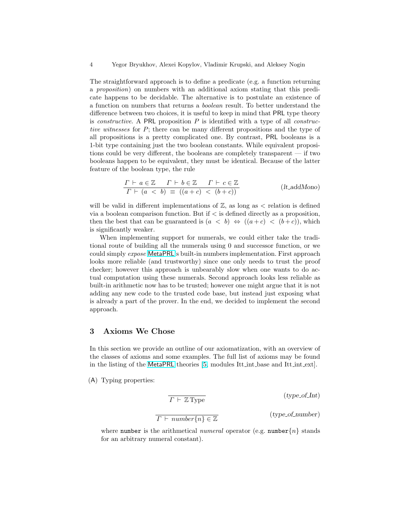The straightforward approach is to define a predicate (e.g. a function returning a proposition) on numbers with an additional axiom stating that this predicate happens to be decidable. The alternative is to postulate an existence of a function on numbers that returns a boolean result. To better understand the difference between two choices, it is useful to keep in mind that PRL type theory is *constructive*. A PRL proposition  $P$  is identified with a type of all *construc*tive witnesses for P; there can be many different propositions and the type of all propositions is a pretty complicated one. By contrast, PRL booleans is a 1-bit type containing just the two boolean constants. While equivalent propositions could be very different, the booleans are completely transparent — if two booleans happen to be equivalent, they must be identical. Because of the latter feature of the boolean type, the rule

$$
\frac{\Gamma \vdash a \in \mathbb{Z} \quad \Gamma \vdash b \in \mathbb{Z} \quad \Gamma \vdash c \in \mathbb{Z}}{\Gamma \vdash (a < b) \equiv ((a+c) < (b+c))}
$$
\n(lt.addMono)

will be valid in different implementations of  $\mathbb{Z}$ , as long as  $\lt$  relation is defined via a boolean comparison function. But if  $\lt$  is defined directly as a proposition, then the best that can be guaranteed is  $(a < b) \Leftrightarrow ((a+c) < (b+c))$ , which is significantly weaker.

When implementing support for numerals, we could either take the traditional route of building all the numerals using 0 and successor function, or we could simply expose [MetaPRL](http://metaprl.org/)'s built-in numbers implementation. First approach looks more reliable (and trustworthy) since one only needs to trust the proof checker; however this approach is unbearably slow when one wants to do actual computation using these numerals. Second approach looks less reliable as built-in arithmetic now has to be trusted; however one might argue that it is not adding any new code to the trusted code base, but instead just exposing what is already a part of the prover. In the end, we decided to implement the second approach.

#### 3 Axioms We Chose

In this section we provide an outline of our axiomatization, with an overview of the classes of axioms and some examples. The full list of axioms may be found in the listing of the [MetaPRL](http://metaprl.org/) theories [\[5,](#page-10-0) modules Itt int base and Itt int ext].

(A) Typing properties:

$$
\overline{\Gamma \vdash \mathbb{Z} \text{Type}}
$$
 (type\_of\_Int)  

$$
\overline{\Gamma \vdash number\{n\} \in \mathbb{Z}}
$$
 (type\_of\_number)

where number is the arithmetical numeral operator (e.g. number  $\{n\}$  stands for an arbitrary numeral constant).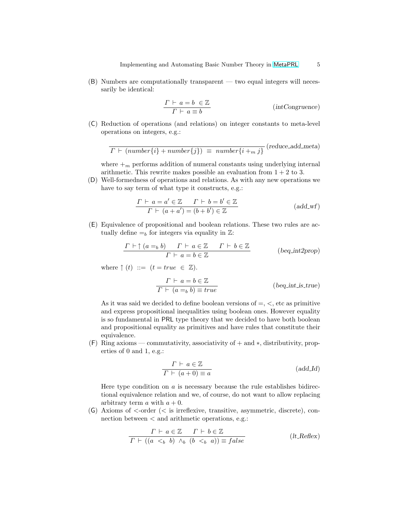(B) Numbers are computationally transparent — two equal integers will necessarily be identical:

$$
\frac{\Gamma \vdash a = b \in \mathbb{Z}}{\Gamma \vdash a \equiv b}
$$
 (int Congruence)

(C) Reduction of operations (and relations) on integer constants to meta-level operations on integers, e.g.:

$$
\Gamma \vdash (number\{i\} + number\{j\}) \equiv number\{i + m j\}^{\text{(reduce.add_meta)}}
$$

where  $+m$  performs addition of numeral constants using underlying internal arithmetic. This rewrite makes possible an evaluation from  $1 + 2$  to 3.

(D) Well-formedness of operations and relations. As with any new operations we have to say term of what type it constructs, e.g.:

$$
\frac{\Gamma \vdash a = a' \in \mathbb{Z} \qquad \Gamma \vdash b = b' \in \mathbb{Z}}{\Gamma \vdash (a + a') = (b + b') \in \mathbb{Z}} \tag{add\_wf}
$$

(E) Equivalence of propositional and boolean relations. These two rules are actually define  $=_b$  for integers via equality in  $\mathbb{Z}$ :

$$
\frac{\Gamma \vdash \uparrow (a =_b b) \quad \Gamma \vdash a \in \mathbb{Z} \quad \Gamma \vdash b \in \mathbb{Z}}{\Gamma \vdash a = b \in \mathbb{Z}} \qquad \qquad \text{(beg.int2prop)}
$$

where  $\uparrow (t) ::= (t = true \in \mathbb{Z}).$ 

$$
\frac{\Gamma \vdash a = b \in \mathbb{Z}}{\Gamma \vdash (a = b) \equiv true} \qquad \qquad \text{(beq-int.is=true)}
$$

As it was said we decided to define boolean versions of  $=$ ,  $\lt$ , etc as primitive and express propositional inequalities using boolean ones. However equality is so fundamental in PRL type theory that we decided to have both boolean and propositional equality as primitives and have rules that constitute their equivalence.

 $(F)$  Ring axioms — commutativity, associativity of  $+$  and  $*$ , distributivity, properties of 0 and 1, e.g.:

$$
\frac{\Gamma \vdash a \in \mathbb{Z}}{\Gamma \vdash (a+0) \equiv a}
$$
 (add<sub>Ld</sub>)

Here type condition on  $\alpha$  is necessary because the rule establishes bidirectional equivalence relation and we, of course, do not want to allow replacing arbitrary term  $a$  with  $a + 0$ .

 $(G)$  Axioms of  $\leq$ -order  $(*s*$  is irreflexive, transitive, asymmetric, discrete), connection between < and arithmetic operations, e.g.:

$$
\frac{\Gamma \vdash a \in \mathbb{Z} \quad \Gamma \vdash b \in \mathbb{Z}}{\Gamma \vdash ((a \leq_b b) \land_b (b \leq_b a)) \equiv false} \qquad (lt \text{.Reflex})
$$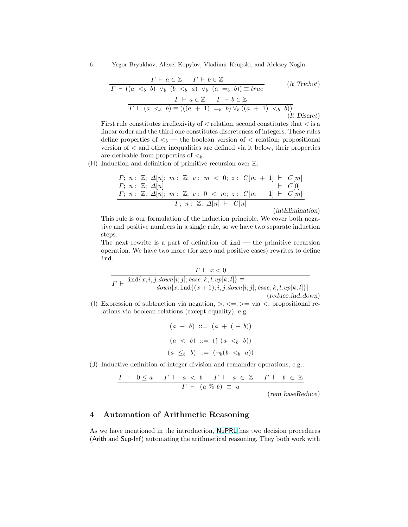6 Yegor Bryukhov, Alexei Kopylov, Vladimir Krupski, and Aleksey Nogin

$$
\frac{\Gamma \vdash a \in \mathbb{Z} \quad \Gamma \vdash b \in \mathbb{Z}}{\Gamma \vdash ((a \leq_b b) \vee_b (b \leq_b a) \vee_b (a =_b b)) \equiv true} \qquad (lt\_Trichot)
$$
\n
$$
\frac{\Gamma \vdash a \in \mathbb{Z} \quad \Gamma \vdash b \in \mathbb{Z}}{\Gamma \vdash (a \leq_b b) \equiv (((a + 1) =_b b) \vee_b ((a + 1) \leq_b b)) \qquad (lt\_Discret)}
$$

First rule constitutes irreflexivity of  $\langle$  relation, second constitutes that  $\langle$  is a linear order and the third one constitutes discreteness of integers. These rules define properties of  $\lt_b$  — the boolean version of  $\lt$  relation; propositional version of < and other inequalities are defined via it below, their properties are derivable from properties of  $\lt_b$ .

(H) Induction and definition of primitive recursion over  $\mathbb{Z}$ :

$$
F; n: \mathbb{Z}; \Delta[n]; m: \mathbb{Z}; v: m < 0; z: C[m + 1] \vdash C[m]
$$
\n
$$
F; n: \mathbb{Z}; \Delta[n] \qquad \qquad \vdash C[0]
$$
\n
$$
F; n: \mathbb{Z}; \Delta[n]; m: \mathbb{Z}; v: 0 < m; z: C[m - 1] \vdash C[m]
$$
\n
$$
F; n: \mathbb{Z}; \Delta[n] \vdash C[n]
$$

(intElimination)

This rule is our formulation of the induction principle. We cover both negative and positive numbers in a single rule, so we have two separate induction steps.

The next rewrite is a part of definition of  $\text{ind}$  — the primitive recursion operation. We have two more (for zero and positive cases) rewrites to define ind.

$$
\cfrac{\Gamma \vdash x < 0}{\Gamma \vdash \text{ind}\{x; i, j. down[i;j]; base; k, l. up[k;l]\}} = \n\cfrac{\text{and}\{x; i, j. down[i;j]; base; k, l. up[k;l]\}}{\text{down}[x; \text{ind}\{(x+1); i, j. down[i;j]; base; k, l. up[k;l]\}]}\n\qquad\n(\text{reduce\_ind\_down})
$$

(I) Expression of subtraction via negation,  $\gt, \lt = \gt; = \text{via} \lt$ , propositional relations via boolean relations (except equality), e.g.:

$$
(a - b) ::= (a + (-b))
$$
  
\n
$$
(a < b) ::= ( \uparrow (a < b))
$$
  
\n
$$
(a \leq_b b) ::= (\neg_b (b <_b a))
$$

(J) Inductive definition of integer division and remainder operations, e.g.:

$$
\frac{\Gamma \vdash 0 \le a \quad \Gamma \vdash a < b \quad \Gamma \vdash a \in \mathbb{Z} \quad \Gamma \vdash b \in \mathbb{Z}}{\Gamma \vdash (a \; \% \; b) \equiv a}
$$

(rem baseReduce)

### 4 Automation of Arithmetic Reasoning

As we have mentioned in the introduction, [NuPRL](http://nuprl.org/) has two decision procedures (Arith and Sup-Inf) automating the arithmetical reasoning. They both work with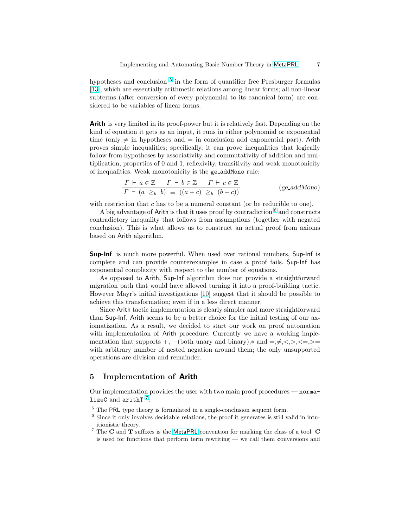hypotheses and conclusion  $5$  in the form of quantifier free Presburger formulas [\[13\]](#page-11-0), which are essentially arithmetic relations among linear forms; all non-linear subterms (after conversion of every polynomial to its canonical form) are considered to be variables of linear forms.

Arith is very limited in its proof-power but it is relatively fast. Depending on the kind of equation it gets as an input, it runs in either polynomial or exponential time (only  $\neq$  in hypotheses and = in conclusion add exponential part). Arith proves simple inequalities; specifically, it can prove inequalities that logically follow from hypotheses by associativity and commutativity of addition and multiplication, properties of 0 and 1, reflexivity, transitivity and weak monotonicity of inequalities. Weak monotonicity is the ge addMono rule:

$$
\frac{\Gamma \vdash a \in \mathbb{Z} \quad \Gamma \vdash b \in \mathbb{Z} \quad \Gamma \vdash c \in \mathbb{Z}}{\Gamma \vdash (a \geq_b b) \equiv ((a+c) \geq_b (b+c))}
$$
 (ge.addMono)

with restriction that  $c$  has to be a numeral constant (or be reducible to one).

A big advantage of Arith is that it uses proof by contradiction  $^6$  and constructs contradictory inequality that follows from assumptions (together with negated conclusion). This is what allows us to construct an actual proof from axioms based on Arith algorithm.

Sup-Inf is much more powerful. When used over rational numbers, Sup-Inf is complete and can provide counterexamples in case a proof fails. Sup-Inf has exponential complexity with respect to the number of equations.

As opposed to Arith, Sup-Inf algorithm does not provide a straightforward migration path that would have allowed turning it into a proof-building tactic. However Mayr's initial investigations [\[10\]](#page-10-0) suggest that it should be possible to achieve this transformation; even if in a less direct manner.

Since Arith tactic implementation is clearly simpler and more straightforward than Sup-Inf, Arith seems to be a better choice for the initial testing of our axiomatization. As a result, we decided to start our work on proof automation with implementation of Arith procedure. Currently we have a working implementation that supports +,  $-(both$  unary and binary),\* and  $=,\neq,<,\geq,<=\geq$ with arbitrary number of nested negation around them; the only unsupported operations are division and remainder.

#### 5 Implementation of Arith

Our implementation provides the user with two main proof procedures — normalizeC and  $arithT$ <sup>7</sup>:

 $5$  The PRL type theory is formulated in a single-conclusion sequent form.

 $6$  Since it only involves decidable relations, the proof it generates is still valid in intuitionistic theory.

 $^7$  The  $\bf C$  and  $\bf T$  suffixes is the [MetaPRL](http://metaprl.org/) convention for marking the class of a tool.  $\bf C$ is used for functions that perform term rewriting — we call them conversions and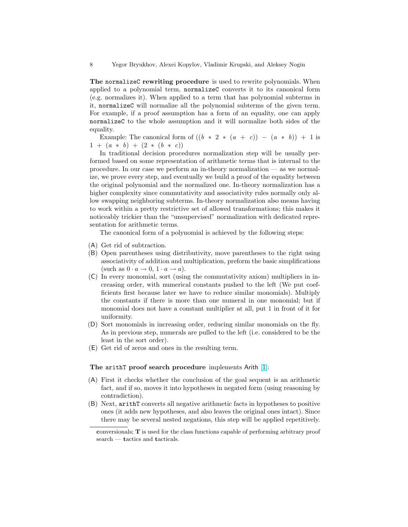8 Yegor Bryukhov, Alexei Kopylov, Vladimir Krupski, and Aleksey Nogin

The normalizeC rewriting procedure is used to rewrite polynomials. When applied to a polynomial term, normalizeC converts it to its canonical form (e.g. normalizes it). When applied to a term that has polynomial subterms in it, normalizeC will normalize all the polynomial subterms of the given term. For example, if a proof assumption has a form of an equality, one can apply normalizeC to the whole assumption and it will normalize both sides of the equality.

Example: The canonical form of  $((b * 2 * (a + c)) - (a * b)) + 1$  is  $1 + (a * b) + (2 * (b * c))$ 

In traditional decision procedures normalization step will be usually performed based on some representation of arithmetic terms that is internal to the procedure. In our case we perform an in-theory normalization — as we normalize, we prove every step, and eventually we build a proof of the equality between the original polynomial and the normalized one. In-theory normalization has a higher complexity since commutativity and associativity rules normally only allow swapping neighboring subterms. In-theory normalization also means having to work within a pretty restrictive set of allowed transformations; this makes it noticeably trickier than the "unsupervised" normalization with dedicated representation for arithmetic terms.

The canonical form of a polynomial is achieved by the following steps:

- (A) Get rid of subtraction.
- (B) Open parentheses using distributivity, move parentheses to the right using associativity of addition and multiplication, preform the basic simplifications (such as  $0 \cdot a \rightarrow 0, 1 \cdot a \rightarrow a$ ).
- (C) In every monomial, sort (using the commutativity axiom) multipliers in increasing order, with numerical constants pushed to the left (We put coefficients first because later we have to reduce similar monomials). Multiply the constants if there is more than one numeral in one monomial; but if monomial does not have a constant multiplier at all, put 1 in front of it for uniformity.
- (D) Sort monomials in increasing order, reducing similar monomials on the fly. As in previous step, numerals are pulled to the left (i.e. considered to be the least in the sort order).
- (E) Get rid of zeros and ones in the resulting term.

#### The arithT proof search procedure implements Arith [\[1\]](#page-10-0):

- (A) First it checks whether the conclusion of the goal sequent is an arithmetic fact, and if so, moves it into hypotheses in negated form (using reasoning by contradiction).
- (B) Next, arithT converts all negative arithmetic facts in hypotheses to positive ones (it adds new hypotheses, and also leaves the original ones intact). Since there may be several nested negations, this step will be applied repetitively.

conversionals; T is used for the class functions capable of performing arbitrary proof search — tactics and tacticals.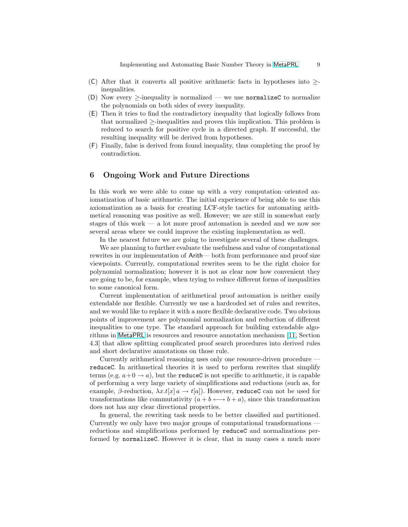- (C) After that it converts all positive arithmetic facts in hypotheses into  $\geq$ inequalities.
- (D) Now every  $\ge$ -inequality is normalized we use normalized to normalize the polynomials on both sides of every inequality.
- (E) Then it tries to find the contradictory inequality that logically follows from that normalized ≥-inequalities and proves this implication. This problem is reduced to search for positive cycle in a directed graph. If successful, the resulting inequality will be derived from hypotheses.
- (F) Finally, false is derived from found inequality, thus completing the proof by contradiction.

#### 6 Ongoing Work and Future Directions

In this work we were able to come up with a very computation–oriented axiomatization of basic arithmetic. The initial experience of being able to use this axiomatization as a basis for creating LCF-style tactics for automating arithmetical reasoning was positive as well. However; we are still in somewhat early stages of this work — a lot more proof automation is needed and we now see several areas where we could improve the existing implementation as well.

In the nearest future we are going to investigate several of these challenges.

We are planning to further evaluate the usefulness and value of computational rewrites in our implementation of Arith— both from performance and proof size viewpoints. Currently, computational rewrites seem to be the right choice for polynomial normalization; however it is not as clear now how convenient they are going to be, for example, when trying to reduce different forms of inequalities to some canonical form.

Current implementation of arithmetical proof automation is neither easily extendable nor flexible. Currently we use a hardcoded set of rules and rewrites, and we would like to replace it with a more flexible declarative code. Two obvious points of improvement are polynomial normalization and reduction of different inequalities to one type. The standard approach for building extendable algorithms in [MetaPRL](http://metaprl.org/) is resources and resource annotation mechanism [\[11,](#page-10-0) Section 4.3] that allow splitting complicated proof search procedures into derived rules and short declarative annotations on those rule.

Currently arithmetical reasoning uses only one resource-driven procedure reduceC. In arithmetical theories it is used to perform rewrites that simplify terms (e.g.  $a+0 \rightarrow a$ ), but the **reduceC** is not specific to arithmetic, it is capable of performing a very large variety of simplifications and reductions (such as, for example,  $\beta$ -reduction,  $\lambda x.t[x]$   $\alpha \rightarrow t[a]$ ). However, reduceC can not be used for transformations like commutativity  $(a + b \leftrightarrow b + a)$ , since this transformation does not has any clear directional properties.

In general, the rewriting task needs to be better classified and partitioned. Currently we only have two major groups of computational transformations reductions and simplifications performed by reduceC and normalizations performed by normalizeC. However it is clear, that in many cases a much more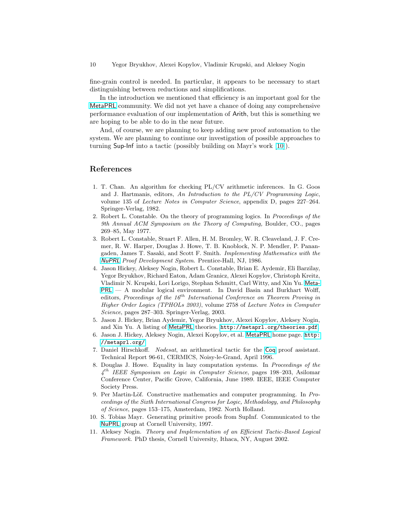<span id="page-10-0"></span>fine-grain control is needed. In particular, it appears to be necessary to start distinguishing between reductions and simplifications.

In the introduction we mentioned that efficiency is an important goal for the [MetaPRL](http://metaprl.org/) community. We did not yet have a chance of doing any comprehensive performance evaluation of our implementation of Arith, but this is something we are hoping to be able to do in the near future.

And, of course, we are planning to keep adding new proof automation to the system. We are planning to continue our investigation of possible approaches to turning Sup-Inf into a tactic (possibly building on Mayr's work [10]).

#### References

- 1. T. Chan. An algorithm for checking PL/CV arithmetic inferences. In G. Goos and J. Hartmanis, editors, An Introduction to the PL/CV Programming Logic, volume 135 of Lecture Notes in Computer Science, appendix D, pages 227–264. Springer-Verlag, 1982.
- 2. Robert L. Constable. On the theory of programming logics. In Proceedings of the 9th Annual ACM Symposium on the Theory of Computing, Boulder, CO., pages 269–85, May 1977.
- 3. Robert L. Constable, Stuart F. Allen, H. M. Bromley, W. R. Cleaveland, J. F. Cremer, R. W. Harper, Douglas J. Howe, T. B. Knoblock, N. P. Mendler, P. Panangaden, James T. Sasaki, and Scott F. Smith. Implementing Mathematics with the [NuPRL](http://nuprl.org/) Proof Development System. Prentice-Hall, NJ, 1986.
- 4. Jason Hickey, Aleksey Nogin, Robert L. Constable, Brian E. Aydemir, Eli Barzilay, Yegor Bryukhov, Richard Eaton, Adam Granicz, Alexei Kopylov, Christoph Kreitz, Vladimir N. Krupski, Lori Lorigo, Stephan Schmitt, Carl Witty, and Xin Yu. [Meta-](http://metaprl.org/)[PRL](http://metaprl.org/) — A modular logical environment. In David Basin and Burkhart Wolff, editors, Proceedings of the  $16^{th}$  International Conference on Theorem Proving in Higher Order Logics (TPHOLs 2003), volume 2758 of Lecture Notes in Computer Science, pages 287–303. Springer-Verlag, 2003.
- 5. Jason J. Hickey, Brian Aydemir, Yegor Bryukhov, Alexei Kopylov, Aleksey Nogin, and Xin Yu. A listing of [MetaPRL](http://metaprl.org/) theories. <http://metaprl.org/theories.pdf>.
- 6. Jason J. Hickey, Aleksey Nogin, Alexei Kopylov, et al. [MetaPRL](http://metaprl.org/) home page. [http:](http://metaprl.org/) [//metaprl.org/](http://metaprl.org/).
- 7. Daniel Hirschkoff. Nodesat, an arithmetical tactic for the [Coq](http://coq.inria.fr/) proof assistant. Technical Report 96-61, CERMICS, Noisy-le-Grand, April 1996.
- 8. Douglas J. Howe. Equality in lazy computation systems. In Proceedings of the  $4<sup>th</sup> IEEE Symposium on Logic in Computer Science, pages 198–203, Asilomar$ Conference Center, Pacific Grove, California, June 1989. IEEE, IEEE Computer Society Press.
- 9. Per Martin-Löf. Constructive mathematics and computer programming. In Proceedings of the Sixth International Congress for Logic, Methodology, and Philosophy of Science, pages 153–175, Amsterdam, 1982. North Holland.
- 10. S. Tobias Mayr. Generating primitive proofs from SupInf. Communicated to the [NuPRL](http://nuprl.org/) group at Cornell University, 1997.
- 11. Aleksey Nogin. Theory and Implementation of an Efficient Tactic-Based Logical Framework. PhD thesis, Cornell University, Ithaca, NY, August 2002.